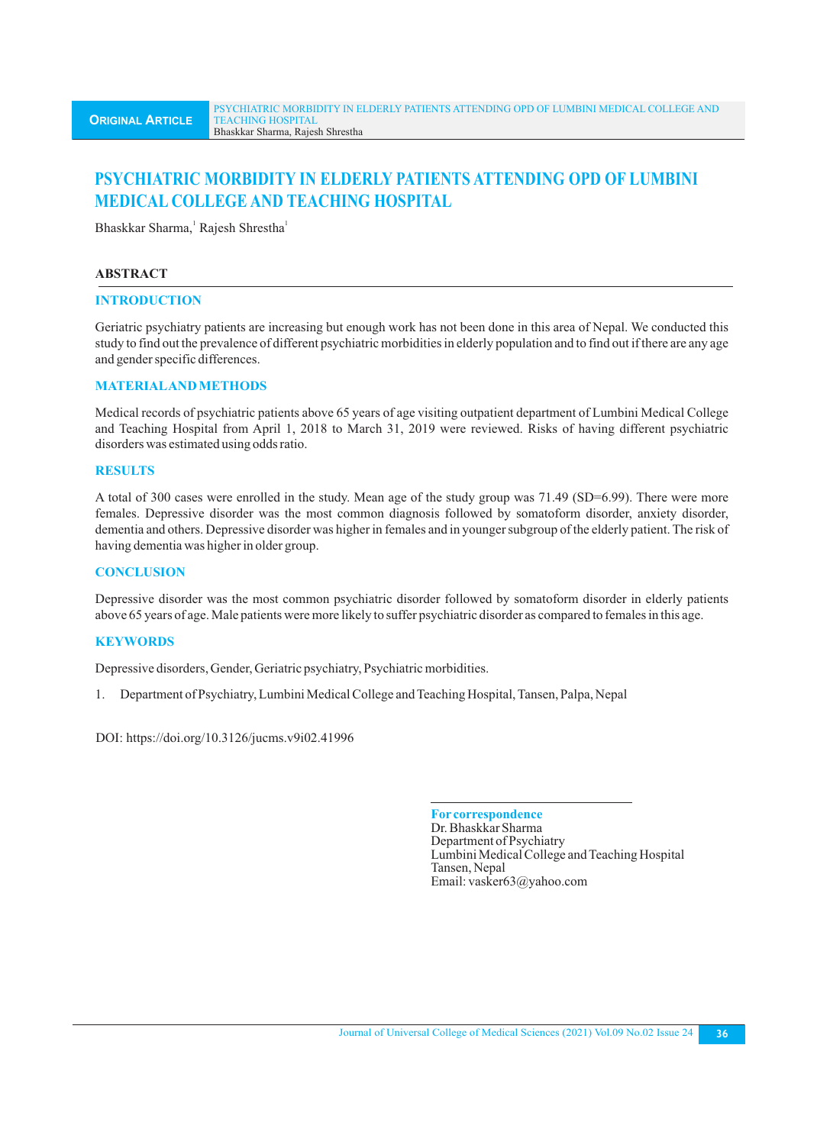# **PSYCHIATRIC MORBIDITY IN ELDERLY PATIENTS ATTENDING OPD OF LUMBINI MEDICAL COLLEGE AND TEACHING HOSPITAL**

Bhaskkar Sharma, Rajesh Shrestha<sup>1</sup>

## **ABSTRACT**

#### **INTRODUCTION**

Geriatric psychiatry patients are increasing but enough work has not been done in this area of Nepal. We conducted this study to find out the prevalence of different psychiatric morbidities in elderly population and to find out if there are any age and gender specific differences.

## **MATERIALAND METHODS**

Medical records of psychiatric patients above 65 years of age visiting outpatient department of Lumbini Medical College and Teaching Hospital from April 1, 2018 to March 31, 2019 were reviewed. Risks of having different psychiatric disorders was estimated using odds ratio.

## **RESULTS**

A total of 300 cases were enrolled in the study. Mean age of the study group was 71.49 (SD=6.99). There were more females. Depressive disorder was the most common diagnosis followed by somatoform disorder, anxiety disorder, dementia and others. Depressive disorder was higher in females and in younger subgroup of the elderly patient. The risk of having dementia was higher in older group.

## **CONCLUSION**

Depressive disorder was the most common psychiatric disorder followed by somatoform disorder in elderly patients above 65 years of age. Male patients were more likely to suffer psychiatric disorder as compared to females in this age.

## **KEYWORDS**

Depressive disorders, Gender, Geriatric psychiatry, Psychiatric morbidities.

1. Department of Psychiatry, Lumbini Medical College and Teaching Hospital, Tansen, Palpa, Nepal

DOI: https://doi.org/10.3126/jucms.v9i02.41996

**For correspondence** Dr. Bhaskkar Sharma Department of Psychiatry Lumbini Medical College and Teaching Hospital Tansen, Nepal Email: vasker63@yahoo.com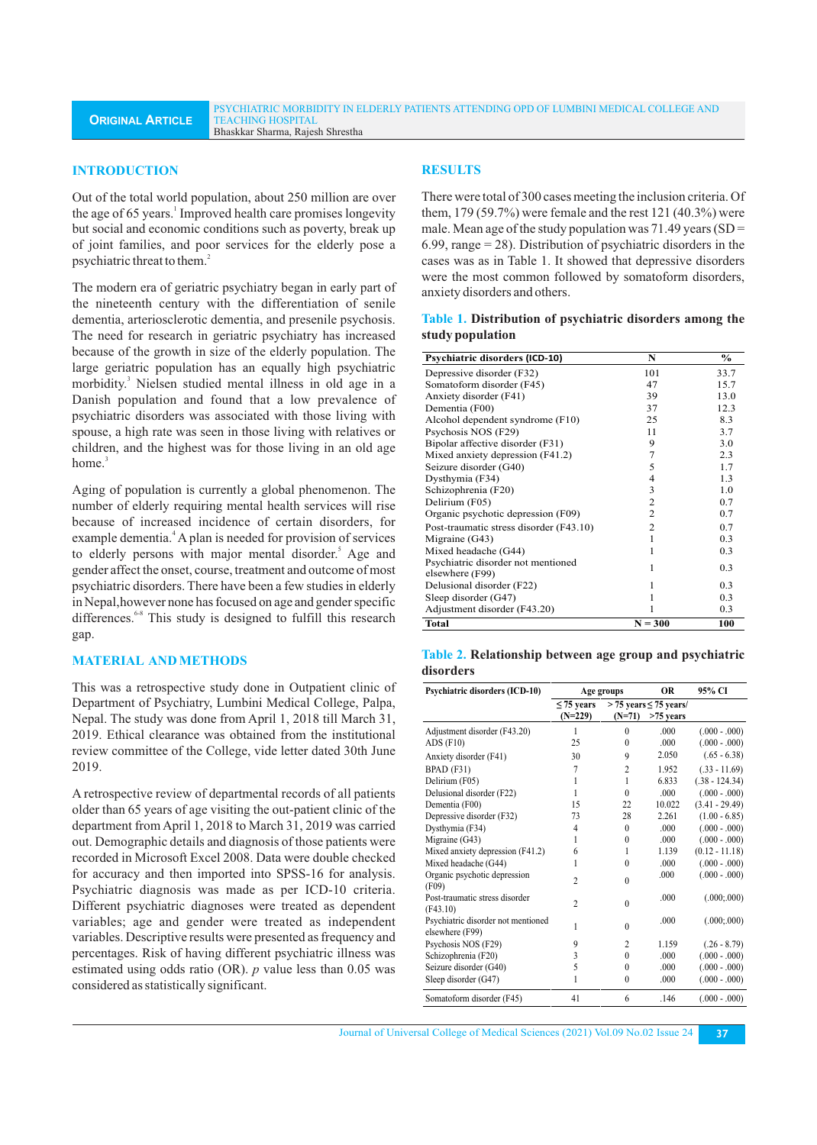#### **INTRODUCTION**

Out of the total world population, about 250 million are over the age of 65 years.<sup>1</sup> Improved health care promises longevity but social and economic conditions such as poverty, break up of joint families, and poor services for the elderly pose a psychiatric threat to them.<sup>2</sup>

The modern era of geriatric psychiatry began in early part of the nineteenth century with the differentiation of senile dementia, arteriosclerotic dementia, and presenile psychosis. The need for research in geriatric psychiatry has increased because of the growth in size of the elderly population. The large geriatric population has an equally high psychiatric morbidity.<sup>3</sup> Nielsen studied mental illness in old age in a Danish population and found that a low prevalence of psychiatric disorders was associated with those living with spouse, a high rate was seen in those living with relatives or children, and the highest was for those living in an old age home.<sup>3</sup>

Aging of population is currently a global phenomenon. The number of elderly requiring mental health services will rise because of increased incidence of certain disorders, for example dementia.<sup>4</sup> A plan is needed for provision of services to elderly persons with major mental disorder.<sup>5</sup> Age and gender affect the onset, course, treatment and outcome of most psychiatric disorders. There have been a few studies in elderly in Nepal,however none has focused on age and gender specific differences.<sup>6-8</sup> This study is designed to fulfill this research gap.

#### **MATERIAL AND METHODS**

This was a retrospective study done in Outpatient clinic of Department of Psychiatry, Lumbini Medical College, Palpa, Nepal. The study was done from April 1, 2018 till March 31, 2019. Ethical clearance was obtained from the institutional review committee of the College, vide letter dated 30th June 2019.

A retrospective review of departmental records of all patients older than 65 years of age visiting the out-patient clinic of the department from April 1, 2018 to March 31, 2019 was carried out. Demographic details and diagnosis of those patients were recorded in Microsoft Excel 2008. Data were double checked for accuracy and then imported into SPSS-16 for analysis. Psychiatric diagnosis was made as per ICD-10 criteria. Different psychiatric diagnoses were treated as dependent variables; age and gender were treated as independent variables. Descriptive results were presented as frequency and percentages. Risk of having different psychiatric illness was estimated using odds ratio (OR). *p* value less than 0.05 was considered as statistically significant.

#### **RESULTS**

There were total of 300 cases meeting the inclusion criteria. Of them, 179 (59.7%) were female and the rest 121 (40.3%) were male. Mean age of the study population was  $71.49$  years (SD = 6.99, range  $= 28$ ). Distribution of psychiatric disorders in the cases was as in Table 1. It showed that depressive disorders were the most common followed by somatoform disorders, anxiety disorders and others.

### **Table 1. Distribution of psychiatric disorders among the study population**

| <b>Psychiatric disorders (ICD-10)</b>                 | N              | $\frac{0}{0}$ |
|-------------------------------------------------------|----------------|---------------|
| Depressive disorder (F32)                             | 101            | 33.7          |
| Somatoform disorder (F45)                             | 47             | 15.7          |
| Anxiety disorder (F41)                                | 39             | 13.0          |
| Dementia (F00)                                        | 37             | 12.3          |
| Alcohol dependent syndrome (F10)                      | 25             | 8.3           |
| Psychosis NOS (F29)                                   | 11             | 3.7           |
| Bipolar affective disorder (F31)                      | 9              | 3.0           |
| Mixed anxiety depression (F41.2)                      | 7              | 2.3           |
| Seizure disorder (G40)                                | 5              | 1.7           |
| Dysthymia (F34)                                       | $\overline{4}$ | 1.3           |
| Schizophrenia (F20)                                   | 3              | 1.0           |
| Delirium (F05)                                        | $\overline{c}$ | 0.7           |
| Organic psychotic depression (F09)                    | 2              | 0.7           |
| Post-traumatic stress disorder (F43.10)               | $\overline{c}$ | 0.7           |
| Migraine (G43)                                        | 1              | 0.3           |
| Mixed headache (G44)                                  | 1              | 0.3           |
| Psychiatric disorder not mentioned<br>elsewhere (F99) | 1              | 0.3           |
| Delusional disorder (F22)                             | 1              | 0.3           |
| Sleep disorder (G47)                                  | 1              | 0.3           |
| Adjustment disorder (F43.20)                          | 1              | 0.3           |
| <b>Total</b>                                          | $N = 300$      | 100           |

#### **Table 2. Relationship between age group and psychiatric disorders**

| Psychiatric disorders (ICD-10)                        |                 | Age groups     | <b>OR</b>                     | 95% CI           |
|-------------------------------------------------------|-----------------|----------------|-------------------------------|------------------|
|                                                       | $\leq$ 75 years |                | $>$ 75 years $\leq$ 75 years/ |                  |
|                                                       | $(N=229)$       | $(N=71)$       | $>75$ years                   |                  |
| Adjustment disorder (F43.20)                          | 1               | $\theta$       | .000                          | $(.000 - .000)$  |
| ADS (F10)                                             | 25              | $\Omega$       | .000                          | $(.000 - .000)$  |
| Anxiety disorder (F41)                                | 30              | 9              | 2.050                         | $(.65 - 6.38)$   |
| BPAD (F31)                                            | 7               | $\overline{c}$ | 1.952                         | $(.33 - 11.69)$  |
| Delirium (F05)                                        | 1               | 1              | 6.833                         | $(.38 - 124.34)$ |
| Delusional disorder (F22)                             | 1               | $\theta$       | .000.                         | $(.000 - .000)$  |
| Dementia (F00)                                        | 15              | 22             | 10.022                        | $(3.41 - 29.49)$ |
| Depressive disorder (F32)                             | 73              | 28             | 2.261                         | $(1.00 - 6.85)$  |
| Dysthymia (F34)                                       | 4               | $\theta$       | .000                          | $(0.00 - 0.00)$  |
| Migraine (G43)                                        | 1               | $\theta$       | .000                          | $(0.00 - 0.00)$  |
| Mixed anxiety depression (F41.2)                      | 6               | 1              | 1.139                         | $(0.12 - 11.18)$ |
| Mixed headache (G44)                                  | 1               | $\theta$       | .000                          | $(.000 - .000)$  |
| Organic psychotic depression<br>(F09)                 | $\overline{c}$  | $\theta$       | .000                          | $(0.00 - 0.00)$  |
| Post-traumatic stress disorder<br>(F43.10)            | $\mathfrak{D}$  | $\theta$       | .000                          | (.000; .000)     |
| Psychiatric disorder not mentioned<br>elsewhere (F99) | 1               | $\theta$       | .000                          | (.000; .000)     |
| Psychosis NOS (F29)                                   | 9               | $\overline{c}$ | 1.159                         | $(.26 - 8.79)$   |
| Schizophrenia (F20)                                   | 3               | $\theta$       | .000                          | $(0.00 - 0.00)$  |
| Seizure disorder (G40)                                | 5               | $\theta$       | .000                          | $(0.00 - 0.00)$  |
| Sleep disorder (G47)                                  | 1               | $\theta$       | .000                          | $(0.00 - 0.00)$  |
| Somatoform disorder (F45)                             | 41              | 6              | .146                          | $(.000 - .000)$  |

Journal of Universal College of Medical Sciences (2021) Vol.09 No.02 Issue 24 **37**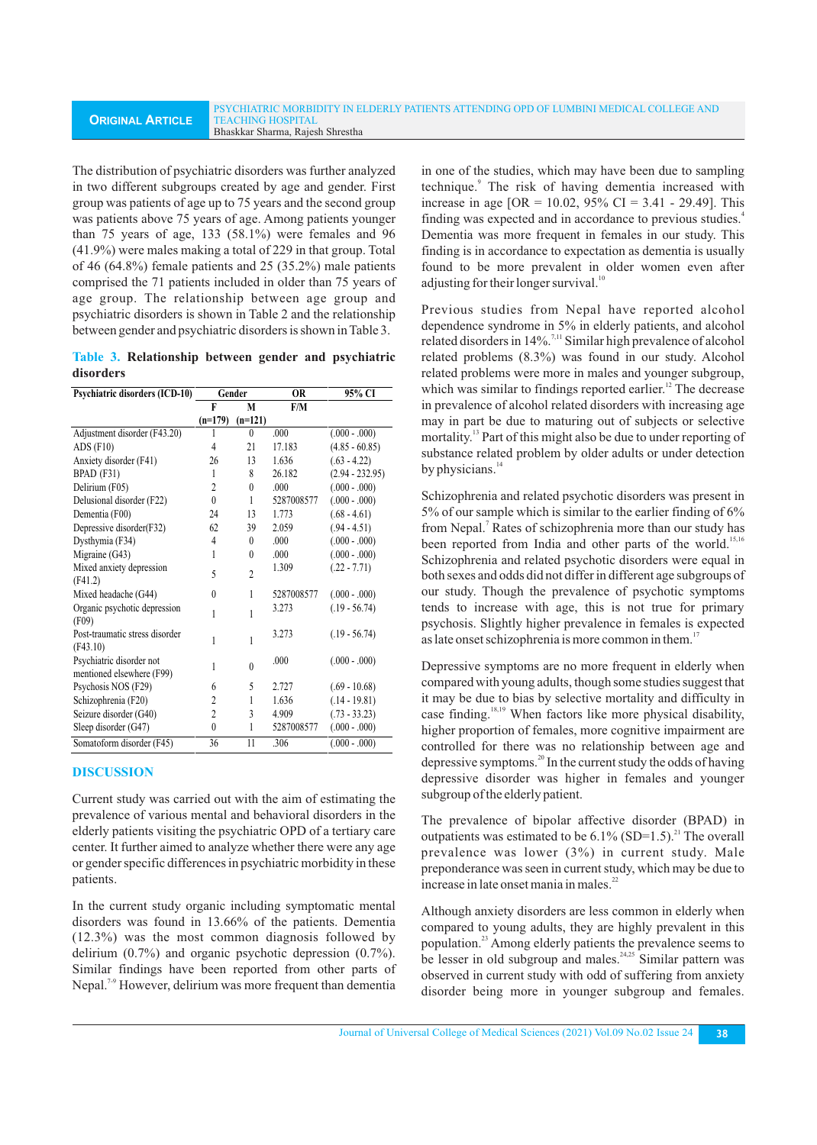The distribution of psychiatric disorders was further analyzed in two different subgroups created by age and gender. First group was patients of age up to 75 years and the second group was patients above 75 years of age. Among patients younger than 75 years of age, 133 (58.1%) were females and 96 (41.9%) were males making a total of 229 in that group. Total of 46 (64.8%) female patients and 25 (35.2%) male patients comprised the 71 patients included in older than 75 years of age group. The relationship between age group and psychiatric disorders is shown in Table 2 and the relationship between gender and psychiatric disorders is shown in Table 3.

|           | Table 3. Relationship between gender and psychiatric |  |  |
|-----------|------------------------------------------------------|--|--|
| disorders |                                                      |  |  |

| <b>Psychiatric disorders (ICD-10)</b>                 | Gender         |           | <b>OR</b>  | 95% CI            |
|-------------------------------------------------------|----------------|-----------|------------|-------------------|
|                                                       | F              | M         | F/M        |                   |
|                                                       | $(n=179)$      | $(n=121)$ |            |                   |
| Adjustment disorder (F43.20)                          |                | $\theta$  | .000       | $(.000 - .000)$   |
| ADS (F10)                                             | $\overline{4}$ | 21        | 17.183     | $(4.85 - 60.85)$  |
| Anxiety disorder (F41)                                | 26             | 13        | 1.636      | $(.63 - 4.22)$    |
| BPAD (F31)                                            | 1              | 8         | 26.182     | $(2.94 - 232.95)$ |
| Delirium (F05)                                        | $\overline{c}$ | $\theta$  | .000.      | $(.000 - .000)$   |
| Delusional disorder (F22)                             | $\theta$       | 1         | 5287008577 | $(.000 - .000)$   |
| Dementia (F00)                                        | 24             | 13        | 1.773      | $(.68 - 4.61)$    |
| Depressive disorder(F32)                              | 62             | 39        | 2.059      | $(.94 - 4.51)$    |
| Dysthymia (F34)                                       | 4              | $\theta$  | .000       | $(.000 - .000)$   |
| Migraine (G43)                                        | 1              | $\theta$  | .000       | $(.000 - .000)$   |
| Mixed anxiety depression<br>(F41.2)                   | 5              | 2         | 1.309      | $(.22 - 7.71)$    |
| Mixed headache (G44)                                  | $\theta$       | 1         | 5287008577 | $(.000 - .000)$   |
| Organic psychotic depression<br>(F09)                 | 1              | 1         | 3.273      | $(.19 - 56.74)$   |
| Post-traumatic stress disorder<br>(F43.10)            | 1              | 1         | 3.273      | $(.19 - 56.74)$   |
| Psychiatric disorder not<br>mentioned elsewhere (F99) | 1              | $\theta$  | .000       | $(.000 - .000)$   |
| Psychosis NOS (F29)                                   | 6              | 5         | 2.727      | $(.69 - 10.68)$   |
| Schizophrenia (F20)                                   | 2              | 1         | 1.636      | $(.14 - 19.81)$   |
| Seizure disorder (G40)                                | $\overline{c}$ | 3         | 4.909      | $(.73 - 33.23)$   |
| Sleep disorder (G47)                                  | $\theta$       | 1         | 5287008577 | $(.000 - .000)$   |
| Somatoform disorder (F45)                             | 36             | 11        | .306       | $(.000 - .000)$   |

## **DISCUSSION**

Current study was carried out with the aim of estimating the prevalence of various mental and behavioral disorders in the elderly patients visiting the psychiatric OPD of a tertiary care center. It further aimed to analyze whether there were any age or gender specific differences in psychiatric morbidity in these patients.

In the current study organic including symptomatic mental disorders was found in 13.66% of the patients. Dementia (12.3%) was the most common diagnosis followed by delirium (0.7%) and organic psychotic depression (0.7%). Similar findings have been reported from other parts of Nepal.<sup>7-9</sup> However, delirium was more frequent than dementia in one of the studies, which may have been due to sampling technique.<sup>9</sup> The risk of having dementia increased with increase in age [OR = 10.02,  $95\%$  CI = 3.41 - 29.49]. This finding was expected and in accordance to previous studies.<sup>4</sup> Dementia was more frequent in females in our study. This finding is in accordance to expectation as dementia is usually found to be more prevalent in older women even after adjusting for their longer survival.<sup>1</sup>

Previous studies from Nepal have reported alcohol dependence syndrome in 5% in elderly patients, and alcohol related disorders in 14%.<sup>7,11</sup> Similar high prevalence of alcohol related problems (8.3%) was found in our study. Alcohol related problems were more in males and younger subgroup, which was similar to findings reported earlier. $\frac{12}{12}$  The decrease in prevalence of alcohol related disorders with increasing age may in part be due to maturing out of subjects or selective mortality.<sup>13</sup> Part of this might also be due to under reporting of substance related problem by older adults or under detection by physicians.<sup>14</sup>

Schizophrenia and related psychotic disorders was present in 5% of our sample which is similar to the earlier finding of 6% from Nepal.<sup>7</sup> Rates of schizophrenia more than our study has been reported from India and other parts of the world.<sup>15,16</sup> Schizophrenia and related psychotic disorders were equal in both sexes and odds did not differ in different age subgroups of our study. Though the prevalence of psychotic symptoms tends to increase with age, this is not true for primary psychosis. Slightly higher prevalence in females is expected as late onset schizophrenia is more common in them.<sup>17</sup>

Depressive symptoms are no more frequent in elderly when compared with young adults, though some studies suggest that it may be due to bias by selective mortality and difficulty in case finding.<sup>18,19</sup> When factors like more physical disability, higher proportion of females, more cognitive impairment are controlled for there was no relationship between age and depressive symptoms. $^{20}$  In the current study the odds of having depressive disorder was higher in females and younger subgroup of the elderly patient.

The prevalence of bipolar affective disorder (BPAD) in outpatients was estimated to be  $6.1\%$  (SD=1.5).<sup>21</sup> The overall prevalence was lower (3%) in current study. Male preponderance was seen in current study, which may be due to increase in late onset mania in males.<sup>22</sup>

Although anxiety disorders are less common in elderly when compared to young adults, they are highly prevalent in this population.<sup>23</sup> Among elderly patients the prevalence seems to be lesser in old subgroup and males.  $24.25$  Similar pattern was observed in current study with odd of suffering from anxiety disorder being more in younger subgroup and females.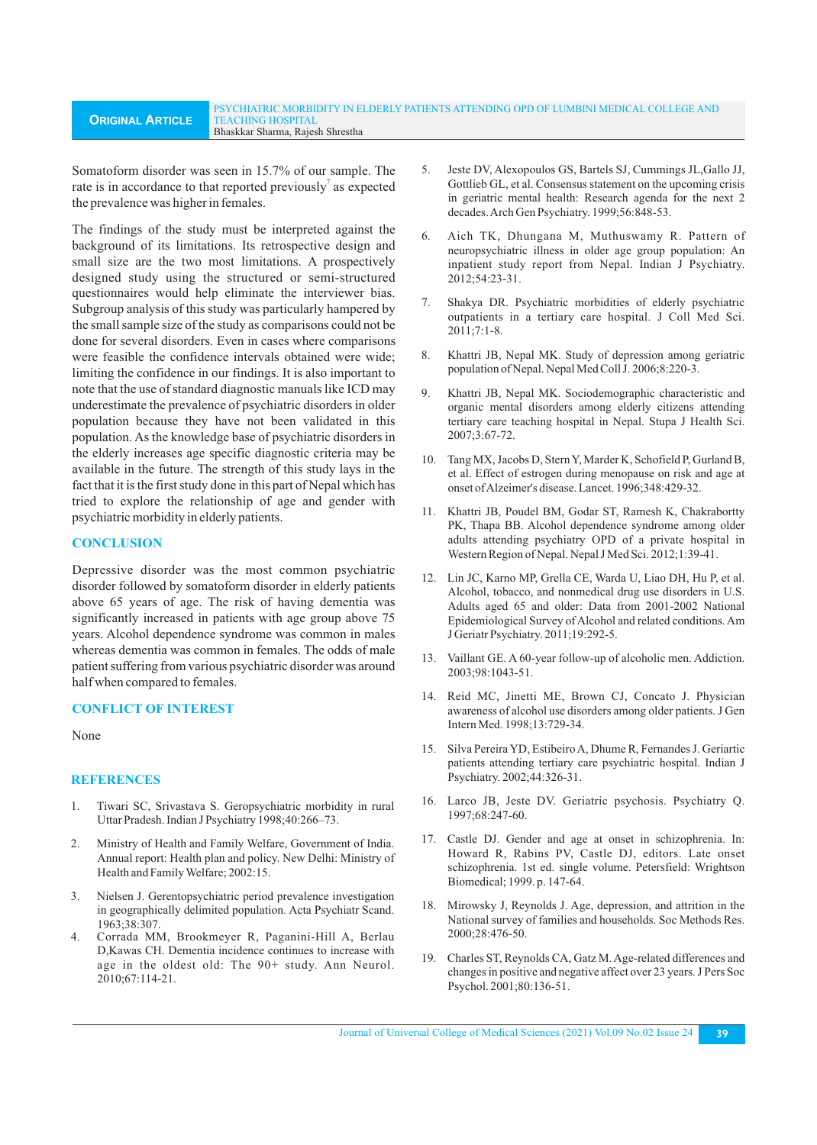Somatoform disorder was seen in 15.7% of our sample. The rate is in accordance to that reported previously<sup>7</sup> as expected the prevalence was higher in females.

The findings of the study must be interpreted against the background of its limitations. Its retrospective design and small size are the two most limitations. A prospectively designed study using the structured or semi-structured questionnaires would help eliminate the interviewer bias. Subgroup analysis of this study was particularly hampered by the small sample size of the study as comparisons could not be done for several disorders. Even in cases where comparisons were feasible the confidence intervals obtained were wide; limiting the confidence in our findings. It is also important to note that the use of standard diagnostic manuals like ICD may underestimate the prevalence of psychiatric disorders in older population because they have not been validated in this population. As the knowledge base of psychiatric disorders in the elderly increases age specific diagnostic criteria may be available in the future. The strength of this study lays in the fact that it is the first study done in this part of Nepal which has tried to explore the relationship of age and gender with psychiatric morbidity in elderly patients.

## **CONCLUSION**

Depressive disorder was the most common psychiatric disorder followed by somatoform disorder in elderly patients above 65 years of age. The risk of having dementia was significantly increased in patients with age group above 75 years. Alcohol dependence syndrome was common in males whereas dementia was common in females. The odds of male patient suffering from various psychiatric disorder was around half when compared to females.

#### **CONFLICT OF INTEREST**

#### None

#### **REFERENCES**

- 1. Tiwari SC, Srivastava S. Geropsychiatric morbidity in rural Uttar Pradesh. Indian J Psychiatry 1998;40:266–73.
- 2. Ministry of Health and Family Welfare, Government of India. Annual report: Health plan and policy. New Delhi: Ministry of Health and Family Welfare; 2002:15.
- 3. Nielsen J. Gerentopsychiatric period prevalence investigation in geographically delimited population. Acta Psychiatr Scand. 1963;38:307.
- 4. Corrada MM, Brookmeyer R, Paganini-Hill A, Berlau D,Kawas CH. Dementia incidence continues to increase with age in the oldest old: The 90+ study. Ann Neurol. 2010;67:114-21.
- 5. Jeste DV, Alexopoulos GS, Bartels SJ, Cummings JL,Gallo JJ, Gottlieb GL, et al. Consensus statement on the upcoming crisis in geriatric mental health: Research agenda for the next 2 decades. Arch Gen Psychiatry. 1999;56:848-53.
- 6. Aich TK, Dhungana M, Muthuswamy R. Pattern of neuropsychiatric illness in older age group population: An inpatient study report from Nepal. Indian J Psychiatry. 2012;54:23-31.
- 7. Shakya DR. Psychiatric morbidities of elderly psychiatric outpatients in a tertiary care hospital. J Coll Med Sci. 2011;7:1-8.
- 8. Khattri JB, Nepal MK. Study of depression among geriatric population of Nepal. Nepal Med Coll J. 2006;8:220-3.
- 9. Khattri JB, Nepal MK. Sociodemographic characteristic and organic mental disorders among elderly citizens attending tertiary care teaching hospital in Nepal. Stupa J Health Sci. 2007;3:67-72.
- 10. Tang MX, Jacobs D, Stern Y, Marder K, Schofield P, Gurland B, et al. Effect of estrogen during menopause on risk and age at onset of Alzeimer's disease. Lancet. 1996;348:429-32.
- 11. Khattri JB, Poudel BM, Godar ST, Ramesh K, Chakrabortty PK, Thapa BB. Alcohol dependence syndrome among older adults attending psychiatry OPD of a private hospital in Western Region of Nepal. Nepal J Med Sci. 2012;1:39-41.
- 12. Lin JC, Karno MP, Grella CE, Warda U, Liao DH, Hu P, et al. Alcohol, tobacco, and nonmedical drug use disorders in U.S. Adults aged 65 and older: Data from 2001-2002 National Epidemiological Survey of Alcohol and related conditions. Am J Geriatr Psychiatry. 2011;19:292-5.
- 13. Vaillant GE. A 60-year follow-up of alcoholic men. Addiction. 2003;98:1043-51.
- 14. Reid MC, Jinetti ME, Brown CJ, Concato J. Physician awareness of alcohol use disorders among older patients. J Gen Intern Med. 1998;13:729-34.
- 15. Silva Pereira YD, Estibeiro A, Dhume R, Fernandes J. Geriartic patients attending tertiary care psychiatric hospital. Indian J Psychiatry. 2002;44:326-31.
- 16. Larco JB, Jeste DV. Geriatric psychosis. Psychiatry Q. 1997;68:247-60.
- 17. Castle DJ. Gender and age at onset in schizophrenia. In: Howard R, Rabins PV, Castle DJ, editors. Late onset schizophrenia. 1st ed. single volume. Petersfield: Wrightson Biomedical; 1999. p. 147-64.
- 18. Mirowsky J, Reynolds J. Age, depression, and attrition in the National survey of families and households. Soc Methods Res. 2000;28:476-50.
- 19. Charles ST, Reynolds CA, Gatz M. Age-related differences and changes in positive and negative affect over 23 years. J Pers Soc Psychol. 2001;80:136-51.